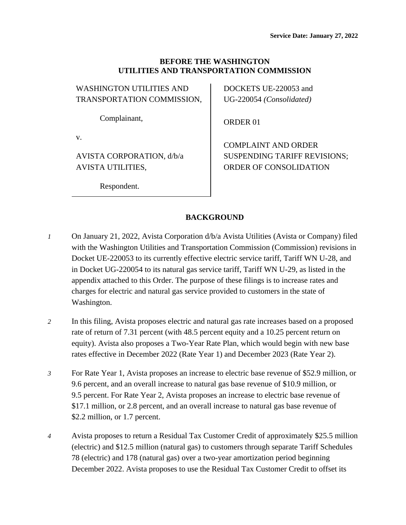#### **BEFORE THE WASHINGTON UTILITIES AND TRANSPORTATION COMMISSION**

| <b>WASHINGTON UTILITIES AND</b> |
|---------------------------------|
| TRANSPORTATION COMMISSION,      |
|                                 |
| Complainant.                    |

v.

AVISTA CORPORATION, d/b/a AVISTA UTILITIES,

Respondent.

DOCKETS UE-220053 and UG-220054 *(Consolidated)*

ORDER 01

COMPLAINT AND ORDER SUSPENDING TARIFF REVISIONS; ORDER OF CONSOLIDATION

### **BACKGROUND**

- *1* On January 21, 2022, Avista Corporation d/b/a Avista Utilities (Avista or Company) filed with the Washington Utilities and Transportation Commission (Commission) revisions in Docket UE-220053 to its currently effective electric service tariff, Tariff WN U-28, and in Docket UG-220054 to its natural gas service tariff, Tariff WN U-29, as listed in the appendix attached to this Order. The purpose of these filings is to increase rates and charges for electric and natural gas service provided to customers in the state of Washington.
- *2* In this filing, Avista proposes electric and natural gas rate increases based on a proposed rate of return of 7.31 percent (with 48.5 percent equity and a 10.25 percent return on equity). Avista also proposes a Two-Year Rate Plan, which would begin with new base rates effective in December 2022 (Rate Year 1) and December 2023 (Rate Year 2).
- *3* For Rate Year 1, Avista proposes an increase to electric base revenue of \$52.9 million, or 9.6 percent, and an overall increase to natural gas base revenue of \$10.9 million, or 9.5 percent. For Rate Year 2, Avista proposes an increase to electric base revenue of \$17.1 million, or 2.8 percent, and an overall increase to natural gas base revenue of \$2.2 million, or 1.7 percent.
- *4* Avista proposes to return a Residual Tax Customer Credit of approximately \$25.5 million (electric) and \$12.5 million (natural gas) to customers through separate Tariff Schedules 78 (electric) and 178 (natural gas) over a two-year amortization period beginning December 2022. Avista proposes to use the Residual Tax Customer Credit to offset its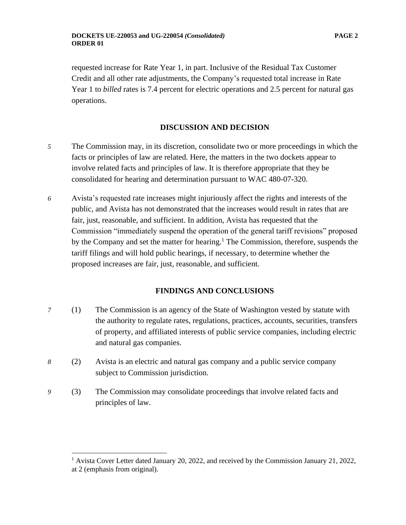requested increase for Rate Year 1, in part. Inclusive of the Residual Tax Customer Credit and all other rate adjustments, the Company's requested total increase in Rate Year 1 to *billed* rates is 7.4 percent for electric operations and 2.5 percent for natural gas operations.

#### **DISCUSSION AND DECISION**

- *5* The Commission may, in its discretion, consolidate two or more proceedings in which the facts or principles of law are related. Here, the matters in the two dockets appear to involve related facts and principles of law. It is therefore appropriate that they be consolidated for hearing and determination pursuant to WAC 480-07-320.
- *6* Avista's requested rate increases might injuriously affect the rights and interests of the public, and Avista has not demonstrated that the increases would result in rates that are fair, just, reasonable, and sufficient. In addition, Avista has requested that the Commission "immediately suspend the operation of the general tariff revisions" proposed by the Company and set the matter for hearing.<sup>1</sup> The Commission, therefore, suspends the tariff filings and will hold public hearings, if necessary, to determine whether the proposed increases are fair, just, reasonable, and sufficient.

#### **FINDINGS AND CONCLUSIONS**

- *7* (1) The Commission is an agency of the State of Washington vested by statute with the authority to regulate rates, regulations, practices, accounts, securities, transfers of property, and affiliated interests of public service companies, including electric and natural gas companies.
- *8* (2) Avista is an electric and natural gas company and a public service company subject to Commission jurisdiction.
- *9* (3) The Commission may consolidate proceedings that involve related facts and principles of law.

<sup>&</sup>lt;sup>1</sup> Avista Cover Letter dated January 20, 2022, and received by the Commission January 21, 2022, at 2 (emphasis from original).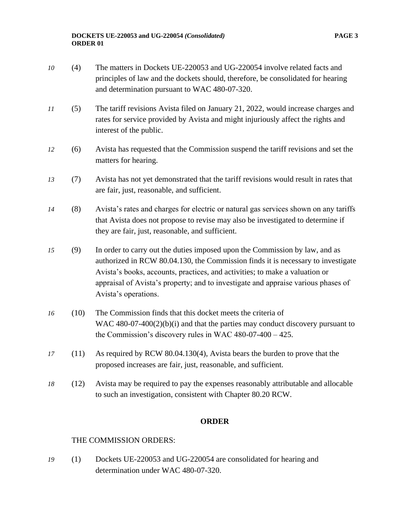- *10* (4) The matters in Dockets UE-220053 and UG-220054 involve related facts and principles of law and the dockets should, therefore, be consolidated for hearing and determination pursuant to WAC 480-07-320.
- *11* (5) The tariff revisions Avista filed on January 21, 2022, would increase charges and rates for service provided by Avista and might injuriously affect the rights and interest of the public.
- *12* (6) Avista has requested that the Commission suspend the tariff revisions and set the matters for hearing.
- *13* (7) Avista has not yet demonstrated that the tariff revisions would result in rates that are fair, just, reasonable, and sufficient.
- *14* (8) Avista's rates and charges for electric or natural gas services shown on any tariffs that Avista does not propose to revise may also be investigated to determine if they are fair, just, reasonable, and sufficient.
- *15* (9) In order to carry out the duties imposed upon the Commission by law, and as authorized in RCW 80.04.130, the Commission finds it is necessary to investigate Avista's books, accounts, practices, and activities; to make a valuation or appraisal of Avista's property; and to investigate and appraise various phases of Avista's operations.
- *16* (10) The Commission finds that this docket meets the criteria of WAC 480-07-400(2)(b)(i) and that the parties may conduct discovery pursuant to the Commission's discovery rules in WAC 480-07-400 – 425.
- *17* (11) As required by RCW 80.04.130(4), Avista bears the burden to prove that the proposed increases are fair, just, reasonable, and sufficient.
- *18* (12) Avista may be required to pay the expenses reasonably attributable and allocable to such an investigation, consistent with Chapter 80.20 RCW.

#### **ORDER**

#### THE COMMISSION ORDERS:

*19* (1) Dockets UE-220053 and UG-220054 are consolidated for hearing and determination under WAC 480-07-320.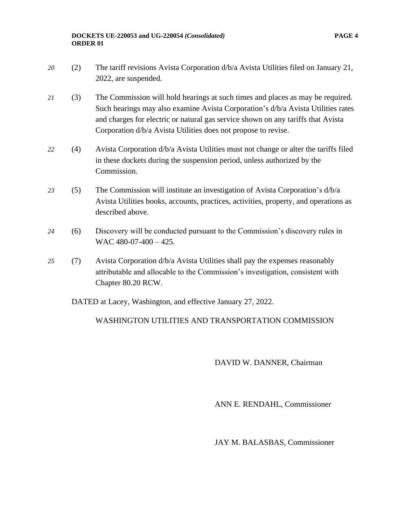- *20* (2) The tariff revisions Avista Corporation d/b/a Avista Utilities filed on January 21, 2022, are suspended.
- *21* (3) The Commission will hold hearings at such times and places as may be required. Such hearings may also examine Avista Corporation's d/b/a Avista Utilities rates and charges for electric or natural gas service shown on any tariffs that Avista Corporation d/b/a Avista Utilities does not propose to revise.
- *22* (4) Avista Corporation d/b/a Avista Utilities must not change or alter the tariffs filed in these dockets during the suspension period, unless authorized by the Commission.
- *23* (5) The Commission will institute an investigation of Avista Corporation's d/b/a Avista Utilities books, accounts, practices, activities, property, and operations as described above.
- *24* (6) Discovery will be conducted pursuant to the Commission's discovery rules in WAC 480-07-400 - 425.
- *25* (7) Avista Corporation d/b/a Avista Utilities shall pay the expenses reasonably attributable and allocable to the Commission's investigation, consistent with Chapter 80.20 RCW.

DATED at Lacey, Washington, and effective January 27, 2022.

#### WASHINGTON UTILITIES AND TRANSPORTATION COMMISSION

#### DAVID W. DANNER, Chairman

ANN E. RENDAHL, Commissioner

JAY M. BALASBAS, Commissioner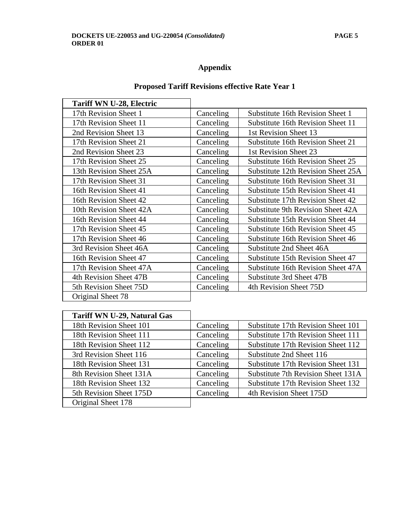$\mathbf{r}$ 

# **Appendix**

## **Proposed Tariff Revisions effective Rate Year 1**

| Tariff WN U-28, Electric |           |                                    |
|--------------------------|-----------|------------------------------------|
| 17th Revision Sheet 1    | Canceling | Substitute 16th Revision Sheet 1   |
| 17th Revision Sheet 11   | Canceling | Substitute 16th Revision Sheet 11  |
| 2nd Revision Sheet 13    | Canceling | 1st Revision Sheet 13              |
| 17th Revision Sheet 21   | Canceling | Substitute 16th Revision Sheet 21  |
| 2nd Revision Sheet 23    | Canceling | 1st Revision Sheet 23              |
| 17th Revision Sheet 25   | Canceling | Substitute 16th Revision Sheet 25  |
| 13th Revision Sheet 25A  | Canceling | Substitute 12th Revision Sheet 25A |
| 17th Revision Sheet 31   | Canceling | Substitute 16th Revision Sheet 31  |
| 16th Revision Sheet 41   | Canceling | Substitute 15th Revision Sheet 41  |
| 16th Revision Sheet 42   | Canceling | Substitute 17th Revision Sheet 42  |
| 10th Revision Sheet 42A  | Canceling | Substitute 9th Revision Sheet 42A  |
| 16th Revision Sheet 44   | Canceling | Substitute 15th Revision Sheet 44  |
| 17th Revision Sheet 45   | Canceling | Substitute 16th Revision Sheet 45  |
| 17th Revision Sheet 46   | Canceling | Substitute 16th Revision Sheet 46  |
| 3rd Revision Sheet 46A   | Canceling | Substitute 2nd Sheet 46A           |
| 16th Revision Sheet 47   | Canceling | Substitute 15th Revision Sheet 47  |
| 17th Revision Sheet 47A  | Canceling | Substitute 16th Revision Sheet 47A |
| 4th Revision Sheet 47B   | Canceling | Substitute 3rd Sheet 47B           |
| 5th Revision Sheet 75D   | Canceling | 4th Revision Sheet 75D             |
| Original Sheet 78        |           |                                    |

| <b>Tariff WN U-29, Natural Gas</b> |           |                                    |
|------------------------------------|-----------|------------------------------------|
| 18th Revision Sheet 101            | Canceling | Substitute 17th Revision Sheet 101 |
| 18th Revision Sheet 111            | Canceling | Substitute 17th Revision Sheet 111 |
| 18th Revision Sheet 112            | Canceling | Substitute 17th Revision Sheet 112 |
| 3rd Revision Sheet 116             | Canceling | Substitute 2nd Sheet 116           |
| 18th Revision Sheet 131            | Canceling | Substitute 17th Revision Sheet 131 |
| 8th Revision Sheet 131A            | Canceling | Substitute 7th Revision Sheet 131A |
| 18th Revision Sheet 132            | Canceling | Substitute 17th Revision Sheet 132 |
| 5th Revision Sheet 175D            | Canceling | 4th Revision Sheet 175D            |
| Original Sheet 178                 |           |                                    |